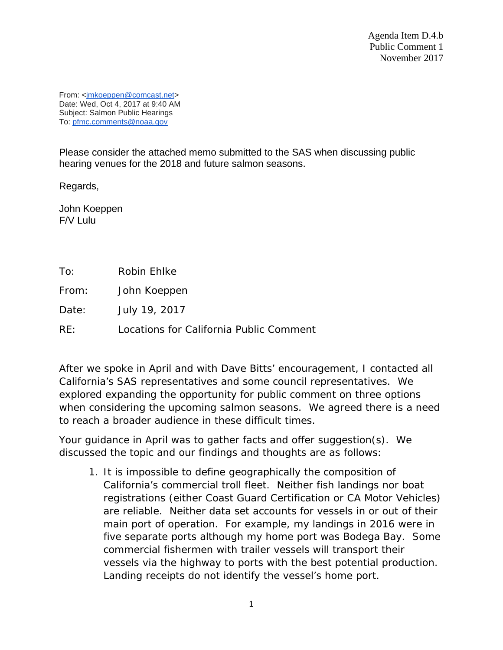Agenda Item D.4.b Public Comment 1 November 2017

From: [<jmkoeppen@comcast.net>](mailto:jmkoeppen@comcast.net) Date: Wed, Oct 4, 2017 at 9:40 AM Subject: Salmon Public Hearings To: [pfmc.comments@noaa.gov](mailto:pfmc.comments@noaa.gov)

Please consider the attached memo submitted to the SAS when discussing public hearing venues for the 2018 and future salmon seasons.

Regards,

John Koeppen F/V Lulu

To: Robin Ehlke

From: John Koeppen

Date: July 19, 2017

RE: Locations for California Public Comment

After we spoke in April and with Dave Bitts' encouragement, I contacted all California's SAS representatives and some council representatives. We explored expanding the opportunity for public comment on three options when considering the upcoming salmon seasons. We agreed there is a need to reach a broader audience in these difficult times.

Your guidance in April was to gather facts and offer suggestion(s). We discussed the topic and our findings and thoughts are as follows:

1. It is impossible to define geographically the composition of California's commercial troll fleet. Neither fish landings nor boat registrations (either Coast Guard Certification or CA Motor Vehicles) are reliable. Neither data set accounts for vessels in or out of their main port of operation. For example, my landings in 2016 were in five separate ports although my home port was Bodega Bay. Some commercial fishermen with trailer vessels will transport their vessels via the highway to ports with the best potential production. Landing receipts do not identify the vessel's home port.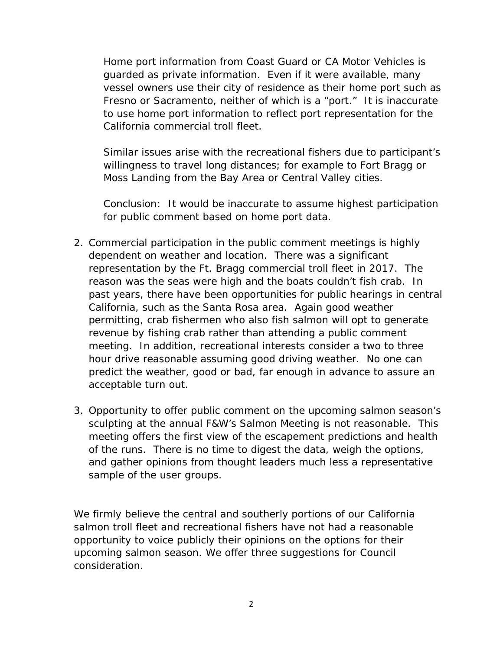Home port information from Coast Guard or CA Motor Vehicles is guarded as private information. Even if it were available, many vessel owners use their city of residence as their home port such as Fresno or Sacramento, neither of which is a "port." It is inaccurate to use home port information to reflect port representation for the California commercial troll fleet.

Similar issues arise with the recreational fishers due to participant's willingness to travel long distances; for example to Fort Bragg or Moss Landing from the Bay Area or Central Valley cities.

Conclusion: It would be inaccurate to assume highest participation for public comment based on home port data.

- 2. Commercial participation in the public comment meetings is highly dependent on weather and location. There was a significant representation by the Ft. Bragg commercial troll fleet in 2017. The reason was the seas were high and the boats couldn't fish crab. In past years, there have been opportunities for public hearings in central California, such as the Santa Rosa area. Again good weather permitting, crab fishermen who also fish salmon will opt to generate revenue by fishing crab rather than attending a public comment meeting. In addition, recreational interests consider a two to three hour drive reasonable assuming good driving weather. No one can predict the weather, good or bad, far enough in advance to assure an acceptable turn out.
- 3. Opportunity to offer public comment on the upcoming salmon season's sculpting at the annual F&W's Salmon Meeting is not reasonable. This meeting offers the first view of the escapement predictions and health of the runs. There is no time to digest the data, weigh the options, and gather opinions from thought leaders much less a representative sample of the user groups.

We firmly believe the central and southerly portions of our California salmon troll fleet and recreational fishers have not had a reasonable opportunity to voice publicly their opinions on the options for their upcoming salmon season. We offer three suggestions for Council consideration.